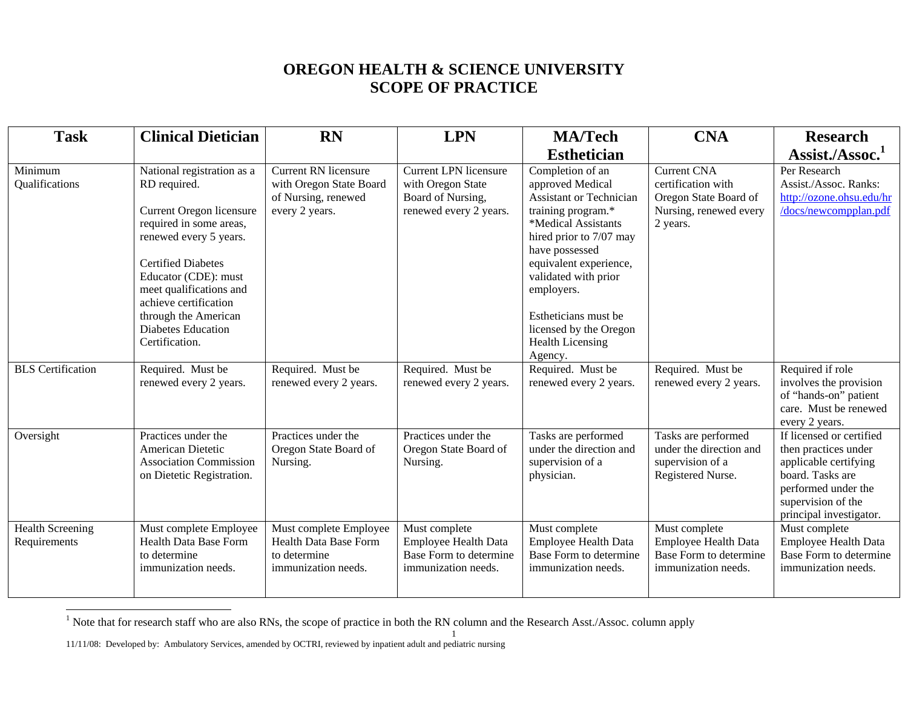## **OREGON HEALTH & SCIENCE UNIVERSITY SCOPE OF PRACTICE**

| <b>Task</b>                             | <b>Clinical Dietician</b>                                                                                                                                                                                                                                                                                   | <b>RN</b>                                                                                       | <b>LPN</b>                                                                                       | <b>MA/Tech</b>                                                                                                                                                                                                                                                                                                           | <b>CNA</b>                                                                                              | <b>Research</b>                                                                                                                                                       |
|-----------------------------------------|-------------------------------------------------------------------------------------------------------------------------------------------------------------------------------------------------------------------------------------------------------------------------------------------------------------|-------------------------------------------------------------------------------------------------|--------------------------------------------------------------------------------------------------|--------------------------------------------------------------------------------------------------------------------------------------------------------------------------------------------------------------------------------------------------------------------------------------------------------------------------|---------------------------------------------------------------------------------------------------------|-----------------------------------------------------------------------------------------------------------------------------------------------------------------------|
|                                         |                                                                                                                                                                                                                                                                                                             |                                                                                                 |                                                                                                  | <b>Esthetician</b>                                                                                                                                                                                                                                                                                                       |                                                                                                         | Assist./Assoc. <sup>1</sup>                                                                                                                                           |
| Minimum<br>Qualifications               | National registration as a<br>RD required.<br>Current Oregon licensure<br>required in some areas,<br>renewed every 5 years.<br><b>Certified Diabetes</b><br>Educator (CDE): must<br>meet qualifications and<br>achieve certification<br>through the American<br><b>Diabetes Education</b><br>Certification. | <b>Current RN</b> licensure<br>with Oregon State Board<br>of Nursing, renewed<br>every 2 years. | <b>Current LPN licensure</b><br>with Oregon State<br>Board of Nursing,<br>renewed every 2 years. | Completion of an<br>approved Medical<br><b>Assistant or Technician</b><br>training program.*<br>*Medical Assistants<br>hired prior to 7/07 may<br>have possessed<br>equivalent experience,<br>validated with prior<br>employers.<br>Estheticians must be<br>licensed by the Oregon<br><b>Health Licensing</b><br>Agency. | <b>Current CNA</b><br>certification with<br>Oregon State Board of<br>Nursing, renewed every<br>2 years. | Per Research<br>Assist./Assoc. Ranks:<br>http://ozone.ohsu.edu/hr<br>/docs/newcompplan.pdf                                                                            |
| <b>BLS</b> Certification                | Required. Must be<br>renewed every 2 years.                                                                                                                                                                                                                                                                 | Required. Must be<br>renewed every 2 years.                                                     | Required. Must be<br>renewed every 2 years.                                                      | Required. Must be<br>renewed every 2 years.                                                                                                                                                                                                                                                                              | Required. Must be<br>renewed every 2 years.                                                             | Required if role<br>involves the provision<br>of "hands-on" patient<br>care. Must be renewed<br>every 2 years.                                                        |
| Oversight                               | Practices under the<br>American Dietetic<br><b>Association Commission</b><br>on Dietetic Registration.                                                                                                                                                                                                      | Practices under the<br>Oregon State Board of<br>Nursing.                                        | Practices under the<br>Oregon State Board of<br>Nursing.                                         | Tasks are performed<br>under the direction and<br>supervision of a<br>physician.                                                                                                                                                                                                                                         | Tasks are performed<br>under the direction and<br>supervision of a<br>Registered Nurse.                 | If licensed or certified<br>then practices under<br>applicable certifying<br>board. Tasks are<br>performed under the<br>supervision of the<br>principal investigator. |
| <b>Health Screening</b><br>Requirements | Must complete Employee<br>Health Data Base Form<br>to determine<br>immunization needs.                                                                                                                                                                                                                      | Must complete Employee<br>Health Data Base Form<br>to determine<br>immunization needs.          | Must complete<br><b>Employee Health Data</b><br>Base Form to determine<br>immunization needs.    | Must complete<br><b>Employee Health Data</b><br><b>Base Form to determine</b><br>immunization needs.                                                                                                                                                                                                                     | Must complete<br><b>Employee Health Data</b><br>Base Form to determine<br>immunization needs.           | Must complete<br>Employee Health Data<br>Base Form to determine<br>immunization needs.                                                                                |

<sup>&</sup>lt;sup>1</sup> Note that for research staff who are also RNs, the scope of practice in both the RN column and the Research Asst./Assoc. column apply

11/11/08: Developed by: Ambulatory Services, amended by OCTRI, reviewed by inpatient adult and pediatric nursing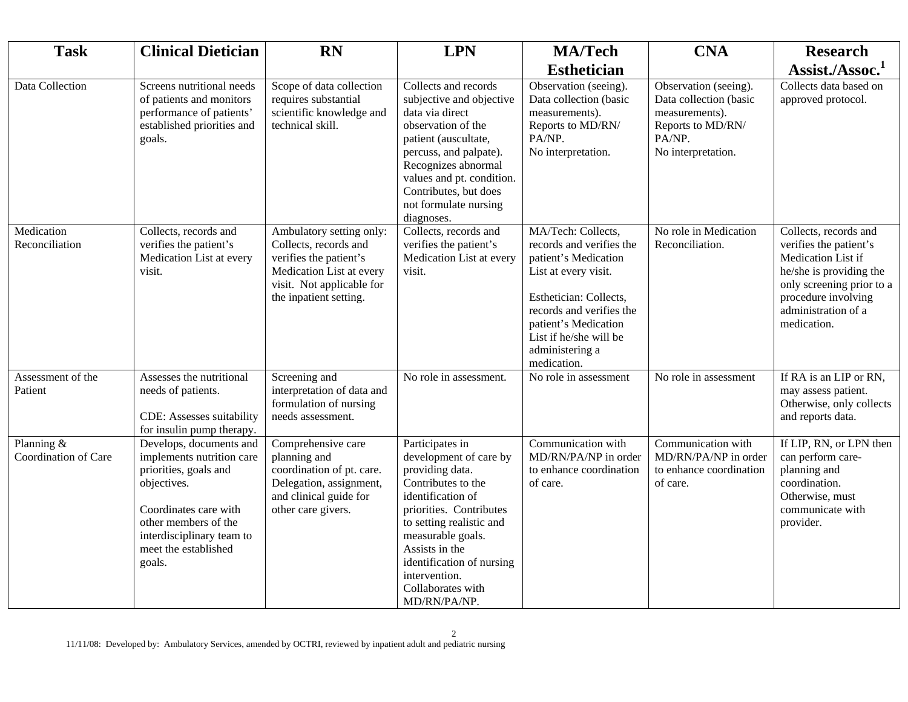| <b>Task</b>                        | <b>Clinical Dietician</b>                                                                                                                                                                                    | <b>RN</b>                                                                                                                                                      | <b>LPN</b>                                                                                                                                                                                                                                                                               | <b>MA/Tech</b>                                                                                                                                                                                                                           | <b>CNA</b>                                                                                                             | <b>Research</b>                                                                                                                                                                            |
|------------------------------------|--------------------------------------------------------------------------------------------------------------------------------------------------------------------------------------------------------------|----------------------------------------------------------------------------------------------------------------------------------------------------------------|------------------------------------------------------------------------------------------------------------------------------------------------------------------------------------------------------------------------------------------------------------------------------------------|------------------------------------------------------------------------------------------------------------------------------------------------------------------------------------------------------------------------------------------|------------------------------------------------------------------------------------------------------------------------|--------------------------------------------------------------------------------------------------------------------------------------------------------------------------------------------|
|                                    |                                                                                                                                                                                                              |                                                                                                                                                                |                                                                                                                                                                                                                                                                                          | <b>Esthetician</b>                                                                                                                                                                                                                       |                                                                                                                        | Assist./Assoc. <sup>1</sup>                                                                                                                                                                |
| Data Collection                    | Screens nutritional needs<br>of patients and monitors<br>performance of patients'<br>established priorities and<br>goals.                                                                                    | Scope of data collection<br>requires substantial<br>scientific knowledge and<br>technical skill.                                                               | Collects and records<br>subjective and objective<br>data via direct<br>observation of the<br>patient (auscultate,<br>percuss, and palpate).<br>Recognizes abnormal<br>values and pt. condition.<br>Contributes, but does<br>not formulate nursing<br>diagnoses.                          | Observation (seeing).<br>Data collection (basic<br>measurements).<br>Reports to MD/RN/<br>PA/NP.<br>No interpretation.                                                                                                                   | Observation (seeing).<br>Data collection (basic<br>measurements).<br>Reports to MD/RN/<br>PA/NP.<br>No interpretation. | Collects data based on<br>approved protocol.                                                                                                                                               |
| Medication<br>Reconciliation       | Collects, records and<br>verifies the patient's<br>Medication List at every<br>visit.                                                                                                                        | Ambulatory setting only:<br>Collects, records and<br>verifies the patient's<br>Medication List at every<br>visit. Not applicable for<br>the inpatient setting. | Collects, records and<br>verifies the patient's<br>Medication List at every<br>visit.                                                                                                                                                                                                    | MA/Tech: Collects,<br>records and verifies the<br>patient's Medication<br>List at every visit.<br>Esthetician: Collects,<br>records and verifies the<br>patient's Medication<br>List if he/she will be<br>administering a<br>medication. | No role in Medication<br>Reconciliation.                                                                               | Collects, records and<br>verifies the patient's<br>Medication List if<br>he/she is providing the<br>only screening prior to a<br>procedure involving<br>administration of a<br>medication. |
| Assessment of the<br>Patient       | Assesses the nutritional<br>needs of patients.<br>CDE: Assesses suitability<br>for insulin pump therapy.                                                                                                     | Screening and<br>interpretation of data and<br>formulation of nursing<br>needs assessment.                                                                     | No role in assessment.                                                                                                                                                                                                                                                                   | No role in assessment                                                                                                                                                                                                                    | No role in assessment                                                                                                  | If RA is an LIP or RN,<br>may assess patient.<br>Otherwise, only collects<br>and reports data.                                                                                             |
| Planning &<br>Coordination of Care | Develops, documents and<br>implements nutrition care<br>priorities, goals and<br>objectives.<br>Coordinates care with<br>other members of the<br>interdisciplinary team to<br>meet the established<br>goals. | Comprehensive care<br>planning and<br>coordination of pt. care.<br>Delegation, assignment,<br>and clinical guide for<br>other care givers.                     | Participates in<br>development of care by<br>providing data.<br>Contributes to the<br>identification of<br>priorities. Contributes<br>to setting realistic and<br>measurable goals.<br>Assists in the<br>identification of nursing<br>intervention.<br>Collaborates with<br>MD/RN/PA/NP. | Communication with<br>MD/RN/PA/NP in order<br>to enhance coordination<br>of care.                                                                                                                                                        | Communication with<br>MD/RN/PA/NP in order<br>to enhance coordination<br>of care.                                      | If LIP, RN, or LPN then<br>can perform care-<br>planning and<br>coordination.<br>Otherwise, must<br>communicate with<br>provider.                                                          |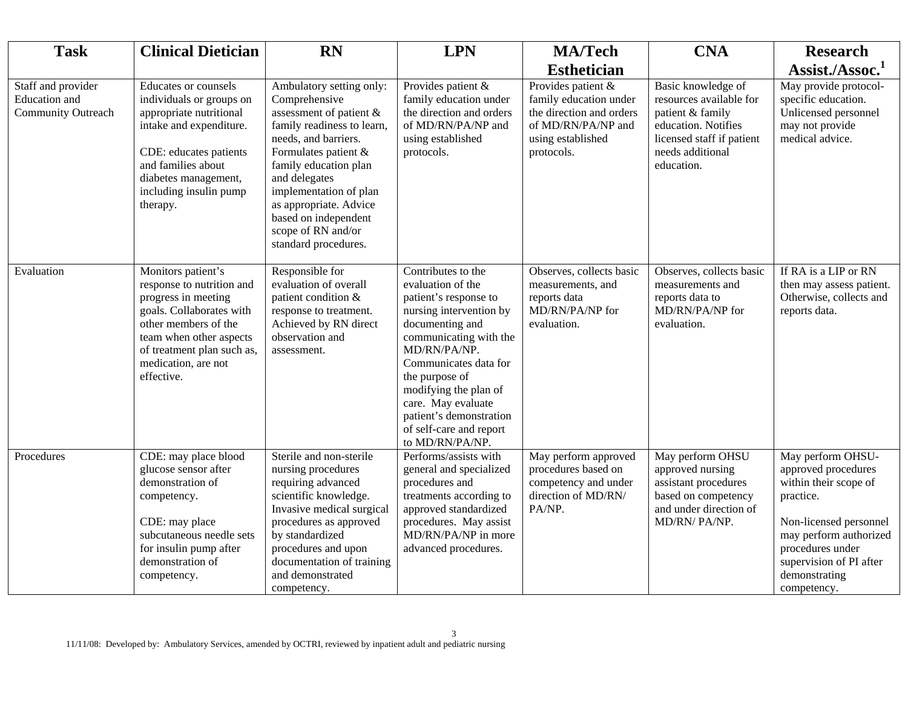| <b>Task</b>                                                      | <b>Clinical Dietician</b>                                                                                                                                                                                                | <b>RN</b>                                                                                                                                                                                                                                                                                                              | <b>LPN</b>                                                                                                                                                                                                                                                                                                                  | <b>MA/Tech</b>                                                                                                                    | <b>CNA</b>                                                                                                                                              | <b>Research</b>                                                                                                                                                                                                   |
|------------------------------------------------------------------|--------------------------------------------------------------------------------------------------------------------------------------------------------------------------------------------------------------------------|------------------------------------------------------------------------------------------------------------------------------------------------------------------------------------------------------------------------------------------------------------------------------------------------------------------------|-----------------------------------------------------------------------------------------------------------------------------------------------------------------------------------------------------------------------------------------------------------------------------------------------------------------------------|-----------------------------------------------------------------------------------------------------------------------------------|---------------------------------------------------------------------------------------------------------------------------------------------------------|-------------------------------------------------------------------------------------------------------------------------------------------------------------------------------------------------------------------|
|                                                                  |                                                                                                                                                                                                                          |                                                                                                                                                                                                                                                                                                                        |                                                                                                                                                                                                                                                                                                                             | <b>Esthetician</b>                                                                                                                |                                                                                                                                                         | Assist./Assoc. <sup>1</sup>                                                                                                                                                                                       |
| Staff and provider<br>Education and<br><b>Community Outreach</b> | Educates or counsels<br>individuals or groups on<br>appropriate nutritional<br>intake and expenditure.<br>CDE: educates patients<br>and families about<br>diabetes management,<br>including insulin pump<br>therapy.     | Ambulatory setting only:<br>Comprehensive<br>assessment of patient &<br>family readiness to learn,<br>needs, and barriers.<br>Formulates patient &<br>family education plan<br>and delegates<br>implementation of plan<br>as appropriate. Advice<br>based on independent<br>scope of RN and/or<br>standard procedures. | Provides patient &<br>family education under<br>the direction and orders<br>of MD/RN/PA/NP and<br>using established<br>protocols.                                                                                                                                                                                           | Provides patient &<br>family education under<br>the direction and orders<br>of MD/RN/PA/NP and<br>using established<br>protocols. | Basic knowledge of<br>resources available for<br>patient & family<br>education. Notifies<br>licensed staff if patient<br>needs additional<br>education. | May provide protocol-<br>specific education.<br>Unlicensed personnel<br>may not provide<br>medical advice.                                                                                                        |
| Evaluation                                                       | Monitors patient's<br>response to nutrition and<br>progress in meeting<br>goals. Collaborates with<br>other members of the<br>team when other aspects<br>of treatment plan such as,<br>medication, are not<br>effective. | Responsible for<br>evaluation of overall<br>patient condition &<br>response to treatment.<br>Achieved by RN direct<br>observation and<br>assessment.                                                                                                                                                                   | Contributes to the<br>evaluation of the<br>patient's response to<br>nursing intervention by<br>documenting and<br>communicating with the<br>MD/RN/PA/NP.<br>Communicates data for<br>the purpose of<br>modifying the plan of<br>care. May evaluate<br>patient's demonstration<br>of self-care and report<br>to MD/RN/PA/NP. | Observes, collects basic<br>measurements, and<br>reports data<br>MD/RN/PA/NP for<br>evaluation.                                   | Observes, collects basic<br>measurements and<br>reports data to<br>MD/RN/PA/NP for<br>evaluation.                                                       | If RA is a LIP or RN<br>then may assess patient.<br>Otherwise, collects and<br>reports data.                                                                                                                      |
| Procedures                                                       | CDE: may place blood<br>glucose sensor after<br>demonstration of<br>competency.<br>CDE: may place<br>subcutaneous needle sets<br>for insulin pump after<br>demonstration of<br>competency.                               | Sterile and non-sterile<br>nursing procedures<br>requiring advanced<br>scientific knowledge.<br>Invasive medical surgical<br>procedures as approved<br>by standardized<br>procedures and upon<br>documentation of training<br>and demonstrated<br>competency.                                                          | Performs/assists with<br>general and specialized<br>procedures and<br>treatments according to<br>approved standardized<br>procedures. May assist<br>MD/RN/PA/NP in more<br>advanced procedures.                                                                                                                             | May perform approved<br>procedures based on<br>competency and under<br>direction of MD/RN/<br>PA/NP.                              | May perform OHSU<br>approved nursing<br>assistant procedures<br>based on competency<br>and under direction of<br>MD/RN/ PA/NP.                          | May perform OHSU-<br>approved procedures<br>within their scope of<br>practice.<br>Non-licensed personnel<br>may perform authorized<br>procedures under<br>supervision of PI after<br>demonstrating<br>competency. |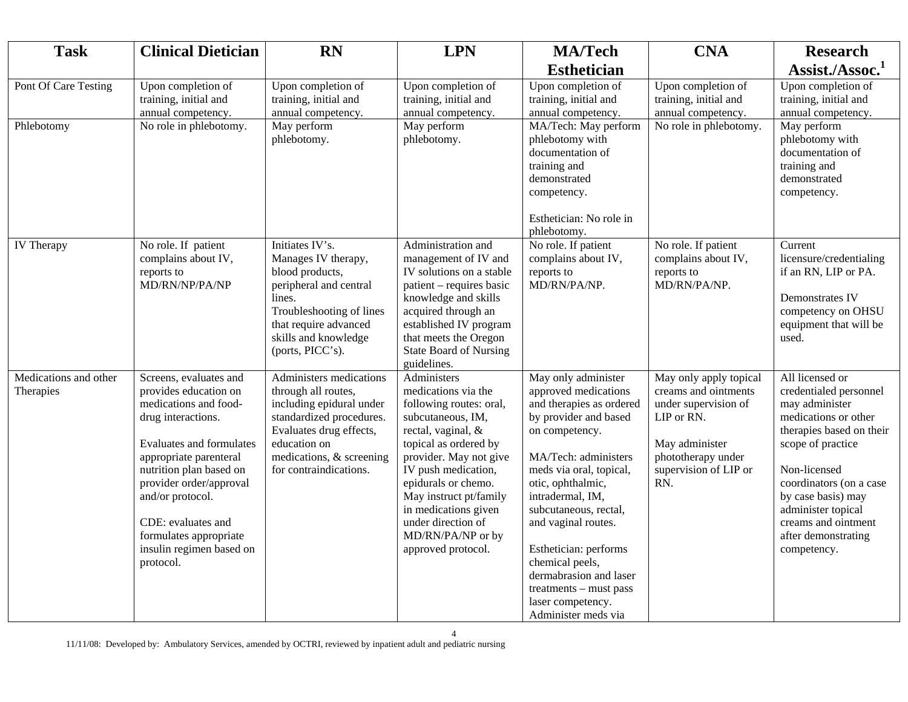| <b>Task</b>                        | <b>Clinical Dietician</b>                                                                                                                                                                                                                                                                                                      | <b>RN</b>                                                                                                                                                                                               | <b>LPN</b>                                                                                                                                                                                                                                                                                                                   | <b>MA/Tech</b>                                                                                                                                                                                                                                                                                                                                                                                             | <b>CNA</b>                                                                                                                                                   | <b>Research</b>                                                                                                                                                                                                                                                                          |
|------------------------------------|--------------------------------------------------------------------------------------------------------------------------------------------------------------------------------------------------------------------------------------------------------------------------------------------------------------------------------|---------------------------------------------------------------------------------------------------------------------------------------------------------------------------------------------------------|------------------------------------------------------------------------------------------------------------------------------------------------------------------------------------------------------------------------------------------------------------------------------------------------------------------------------|------------------------------------------------------------------------------------------------------------------------------------------------------------------------------------------------------------------------------------------------------------------------------------------------------------------------------------------------------------------------------------------------------------|--------------------------------------------------------------------------------------------------------------------------------------------------------------|------------------------------------------------------------------------------------------------------------------------------------------------------------------------------------------------------------------------------------------------------------------------------------------|
|                                    |                                                                                                                                                                                                                                                                                                                                |                                                                                                                                                                                                         |                                                                                                                                                                                                                                                                                                                              | <b>Esthetician</b>                                                                                                                                                                                                                                                                                                                                                                                         |                                                                                                                                                              | Assist./Assoc. <sup>1</sup>                                                                                                                                                                                                                                                              |
| Pont Of Care Testing               | Upon completion of<br>training, initial and<br>annual competency.                                                                                                                                                                                                                                                              | Upon completion of<br>training, initial and<br>annual competency.                                                                                                                                       | Upon completion of<br>training, initial and<br>annual competency.                                                                                                                                                                                                                                                            | Upon completion of<br>training, initial and<br>annual competency.                                                                                                                                                                                                                                                                                                                                          | Upon completion of<br>training, initial and<br>annual competency.                                                                                            | Upon completion of<br>training, initial and<br>annual competency.                                                                                                                                                                                                                        |
| Phlebotomy                         | No role in phlebotomy.                                                                                                                                                                                                                                                                                                         | May perform<br>phlebotomy.                                                                                                                                                                              | May perform<br>phlebotomy.                                                                                                                                                                                                                                                                                                   | MA/Tech: May perform<br>phlebotomy with<br>documentation of<br>training and<br>demonstrated<br>competency.<br>Esthetician: No role in<br>phlebotomy.                                                                                                                                                                                                                                                       | No role in phlebotomy.                                                                                                                                       | May perform<br>phlebotomy with<br>documentation of<br>training and<br>demonstrated<br>competency.                                                                                                                                                                                        |
| <b>IV</b> Therapy                  | No role. If patient<br>complains about IV,<br>reports to<br>MD/RN/NP/PA/NP                                                                                                                                                                                                                                                     | Initiates IV's.<br>Manages IV therapy,<br>blood products,<br>peripheral and central<br>lines.<br>Troubleshooting of lines<br>that require advanced<br>skills and knowledge<br>(ports, PICC's).          | Administration and<br>management of IV and<br>IV solutions on a stable<br>patient – requires basic<br>knowledge and skills<br>acquired through an<br>established IV program<br>that meets the Oregon<br><b>State Board of Nursing</b><br>guidelines.                                                                         | No role. If patient<br>complains about IV,<br>reports to<br>MD/RN/PA/NP.                                                                                                                                                                                                                                                                                                                                   | No role. If patient<br>complains about IV,<br>reports to<br>MD/RN/PA/NP.                                                                                     | Current<br>licensure/credentialing<br>if an RN, LIP or PA.<br>Demonstrates IV<br>competency on OHSU<br>equipment that will be<br>used.                                                                                                                                                   |
| Medications and other<br>Therapies | Screens, evaluates and<br>provides education on<br>medications and food-<br>drug interactions.<br><b>Evaluates and formulates</b><br>appropriate parenteral<br>nutrition plan based on<br>provider order/approval<br>and/or protocol.<br>CDE: evaluates and<br>formulates appropriate<br>insulin regimen based on<br>protocol. | Administers medications<br>through all routes,<br>including epidural under<br>standardized procedures.<br>Evaluates drug effects,<br>education on<br>medications, & screening<br>for contraindications. | Administers<br>medications via the<br>following routes: oral,<br>subcutaneous, IM,<br>rectal, vaginal, &<br>topical as ordered by<br>provider. May not give<br>IV push medication,<br>epidurals or chemo.<br>May instruct pt/family<br>in medications given<br>under direction of<br>MD/RN/PA/NP or by<br>approved protocol. | May only administer<br>approved medications<br>and therapies as ordered<br>by provider and based<br>on competency.<br>MA/Tech: administers<br>meds via oral, topical,<br>otic, ophthalmic,<br>intradermal, IM,<br>subcutaneous, rectal,<br>and vaginal routes.<br>Esthetician: performs<br>chemical peels,<br>dermabrasion and laser<br>treatments - must pass<br>laser competency.<br>Administer meds via | May only apply topical<br>creams and ointments<br>under supervision of<br>LIP or RN.<br>May administer<br>phototherapy under<br>supervision of LIP or<br>RN. | All licensed or<br>credentialed personnel<br>may administer<br>medications or other<br>therapies based on their<br>scope of practice<br>Non-licensed<br>coordinators (on a case<br>by case basis) may<br>administer topical<br>creams and ointment<br>after demonstrating<br>competency. |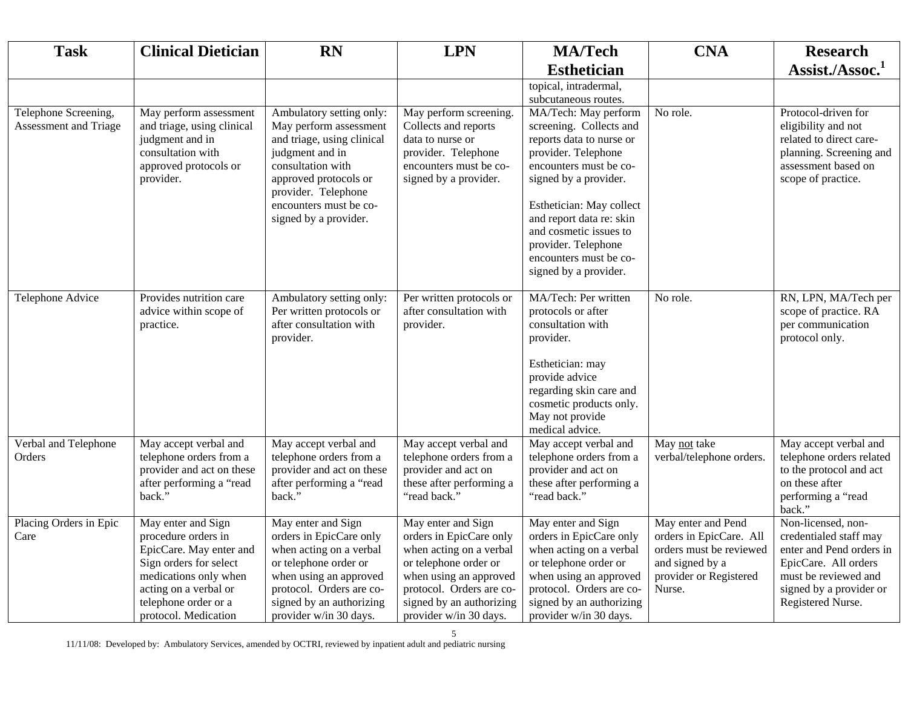| <b>Task</b>                                   | <b>Clinical Dietician</b>                                                                                                                                                                        | <b>RN</b>                                                                                                                                                                                                                   | <b>LPN</b>                                                                                                                                                                                                    | <b>MA/Tech</b>                                                                                                                                                                                                                                                                                                    | <b>CNA</b>                                                                                                                      | <b>Research</b>                                                                                                                                                          |
|-----------------------------------------------|--------------------------------------------------------------------------------------------------------------------------------------------------------------------------------------------------|-----------------------------------------------------------------------------------------------------------------------------------------------------------------------------------------------------------------------------|---------------------------------------------------------------------------------------------------------------------------------------------------------------------------------------------------------------|-------------------------------------------------------------------------------------------------------------------------------------------------------------------------------------------------------------------------------------------------------------------------------------------------------------------|---------------------------------------------------------------------------------------------------------------------------------|--------------------------------------------------------------------------------------------------------------------------------------------------------------------------|
|                                               |                                                                                                                                                                                                  |                                                                                                                                                                                                                             |                                                                                                                                                                                                               | <b>Esthetician</b>                                                                                                                                                                                                                                                                                                |                                                                                                                                 | Assist./Assoc. <sup>1</sup>                                                                                                                                              |
|                                               |                                                                                                                                                                                                  |                                                                                                                                                                                                                             |                                                                                                                                                                                                               | topical, intradermal,                                                                                                                                                                                                                                                                                             |                                                                                                                                 |                                                                                                                                                                          |
|                                               |                                                                                                                                                                                                  |                                                                                                                                                                                                                             |                                                                                                                                                                                                               | subcutaneous routes.                                                                                                                                                                                                                                                                                              |                                                                                                                                 |                                                                                                                                                                          |
| Telephone Screening,<br>Assessment and Triage | May perform assessment<br>and triage, using clinical<br>judgment and in<br>consultation with<br>approved protocols or<br>provider.                                                               | Ambulatory setting only:<br>May perform assessment<br>and triage, using clinical<br>judgment and in<br>consultation with<br>approved protocols or<br>provider. Telephone<br>encounters must be co-<br>signed by a provider. | May perform screening.<br>Collects and reports<br>data to nurse or<br>provider. Telephone<br>encounters must be co-<br>signed by a provider.                                                                  | MA/Tech: May perform<br>screening. Collects and<br>reports data to nurse or<br>provider. Telephone<br>encounters must be co-<br>signed by a provider.<br>Esthetician: May collect<br>and report data re: skin<br>and cosmetic issues to<br>provider. Telephone<br>encounters must be co-<br>signed by a provider. | No role.                                                                                                                        | Protocol-driven for<br>eligibility and not<br>related to direct care-<br>planning. Screening and<br>assessment based on<br>scope of practice.                            |
| Telephone Advice                              | Provides nutrition care<br>advice within scope of<br>practice.                                                                                                                                   | Ambulatory setting only:<br>Per written protocols or<br>after consultation with<br>provider.                                                                                                                                | Per written protocols or<br>after consultation with<br>provider.                                                                                                                                              | MA/Tech: Per written<br>protocols or after<br>consultation with<br>provider.<br>Esthetician: may<br>provide advice<br>regarding skin care and<br>cosmetic products only.<br>May not provide<br>medical advice.                                                                                                    | No role.                                                                                                                        | RN, LPN, MA/Tech per<br>scope of practice. RA<br>per communication<br>protocol only.                                                                                     |
| Verbal and Telephone<br>Orders                | May accept verbal and<br>telephone orders from a<br>provider and act on these<br>after performing a "read<br>back."                                                                              | May accept verbal and<br>telephone orders from a<br>provider and act on these<br>after performing a "read<br>back."                                                                                                         | May accept verbal and<br>telephone orders from a<br>provider and act on<br>these after performing a<br>"read back."                                                                                           | May accept verbal and<br>telephone orders from a<br>provider and act on<br>these after performing a<br>"read back."                                                                                                                                                                                               | May not take<br>verbal/telephone orders.                                                                                        | May accept verbal and<br>telephone orders related<br>to the protocol and act<br>on these after<br>performing a "read<br>back."                                           |
| Placing Orders in Epic<br>Care                | May enter and Sign<br>procedure orders in<br>EpicCare. May enter and<br>Sign orders for select<br>medications only when<br>acting on a verbal or<br>telephone order or a<br>protocol. Medication | May enter and Sign<br>orders in EpicCare only<br>when acting on a verbal<br>or telephone order or<br>when using an approved<br>protocol. Orders are co-<br>signed by an authorizing<br>provider w/in 30 days.               | May enter and Sign<br>orders in EpicCare only<br>when acting on a verbal<br>or telephone order or<br>when using an approved<br>protocol. Orders are co-<br>signed by an authorizing<br>provider w/in 30 days. | May enter and Sign<br>orders in EpicCare only<br>when acting on a verbal<br>or telephone order or<br>when using an approved<br>protocol. Orders are co-<br>signed by an authorizing<br>provider w/in 30 days.                                                                                                     | May enter and Pend<br>orders in EpicCare. All<br>orders must be reviewed<br>and signed by a<br>provider or Registered<br>Nurse. | Non-licensed, non-<br>credentialed staff may<br>enter and Pend orders in<br>EpicCare. All orders<br>must be reviewed and<br>signed by a provider or<br>Registered Nurse. |

11/11/08: Developed by: Ambulatory Services, amended by OCTRI, reviewed by inpatient adult and pediatric nursing